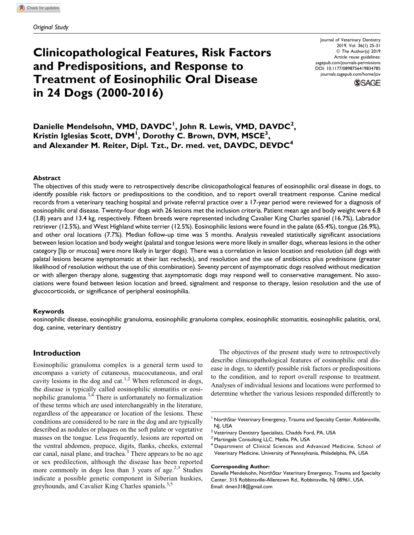# Clinicopathological Features, Risk Factors and Predispositions, and Response to Treatment of Eosinophilic Oral Disease in 24 Dogs (2000-2016)

Journal of Veterinary Dentistry 2019, Vol. 36(1) 25-31 © The Author(s) 2019 Article reuse guidelines: [sagepub.com/journals-permissions](https://sagepub.com/journals-permissions) [DOI: 10.1177/0898756419834785](https://doi.org/10.1177/0898756419834785) [journals.sagepub.com/home/jov](http://journals.sagepub.com/home/jov)



Danielle Mendelsohn, VMD, DAVDC<sup>1</sup>, John R. Lewis, VMD, DAVDC<sup>2</sup>, Kristin Iglesias Scott, DVM<sup>I</sup>, Dorothy C. Brown, DVM, MSCE<sup>3</sup>, and Alexander M. Reiter, Dipl. Tzt., Dr. med. vet, DAVDC, DEVDC<sup>4</sup>

### Abstract

The objectives of this study were to retrospectively describe clinicopathological features of eosinophilic oral disease in dogs, to identify possible risk factors or predispositions to the condition, and to report overall treatment response. Canine medical records from a veterinary teaching hospital and private referral practice over a 17-year period were reviewed for a diagnosis of eosinophilic oral disease. Twenty-four dogs with 26 lesions met the inclusion criteria. Patient mean age and body weight were 6.8 (3.8) years and 13.4 kg, respectively. Fifteen breeds were represented including Cavalier King Charles spaniel (16.7%), Labrador retriever (12.5%), and West Highland white terrier (12.5%). Eosinophilic lesions were found in the palate (65.4%), tongue (26.9%), and other oral locations (7.7%). Median follow-up time was 5 months. Analysis revealed statistically significant associations between lesion location and body weight (palatal and tongue lesions were more likely in smaller dogs, whereas lesions in the other category [lip or mucosa] were more likely in larger dogs). There was a correlation in lesion location and resolution (all dogs with palatal lesions became asymptomatic at their last recheck), and resolution and the use of antibiotics plus prednisone (greater likelihood of resolution without the use of this combination). Seventy percent of asymptomatic dogs resolved without medication or with allergen therapy alone, suggesting that asymptomatic dogs may respond well to conservative management. No associations were found between lesion location and breed, signalment and response to therapy, lesion resolution and the use of glucocorticoids, or significance of peripheral eosinophilia.

### Keywords

eosinophilic disease, eosinophilic granuloma, eosinophilic granuloma complex, eosinophilic stomatitis, eosinophilic palatitis, oral, dog, canine, veterinary dentistry

### Introduction

Eosinophilic granuloma complex is a general term used to encompass a variety of cutaneous, mucocutaneous, and oral cavity lesions in the dog and cat.<sup>1,2</sup> When referenced in dogs, the disease is typically called eosinophilic stomatitis or eosinophilic granuloma.<sup>3,4</sup> There is unfortunately no formalization of these terms which are used interchangeably in the literature, regardless of the appearance or location of the lesions. These conditions are considered to be rare in the dog and are typically described as nodules or plaques on the soft palate or vegetative masses on the tongue. Less frequently, lesions are reported on the ventral abdomen, prepuce, digits, flanks, cheeks, external ear canal, nasal plane, and trachea.<sup>3</sup> There appears to be no age or sex predilection, although the disease has been reported more commonly in dogs less than 3 years of age.<sup>2,3</sup> Studies indicate a possible genetic component in Siberian huskies, greyhounds, and Cavalier King Charles spaniels.<sup>3,5</sup>

The objectives of the present study were to retrospectively describe clinicopathological features of eosinophilic oral disease in dogs, to identify possible risk factors or predispositions to the condition, and to report overall response to treatment. Analyses of individual lesions and locations were performed to determine whether the various lesions responded differently to

#### Corresponding Author:

<sup>&</sup>lt;sup>1</sup> NorthStar Veterinary Emergency, Trauma and Specialty Center, Robbinsville, NJ, USA

<sup>&</sup>lt;sup>2</sup> Veterinary Dentistry Specialists, Chadds Ford, PA, USA

<sup>&</sup>lt;sup>3</sup> Martingale Consulting LLC, Media, PA, USA

<sup>4</sup> Department of Clinical Sciences and Advanced Medicine, School of Veterinary Medicine, University of Pennsylvania, Philadelphia, PA, USA

Danielle Mendelsohn, NorthStar Veterinary Emergency, Trauma and Specialty Center, 315 Robbinsville-Allentown Rd., Robbinsville, NJ 08961, USA. Email: [dmen318@gmail.com](mailto:dmen318@gmail.com)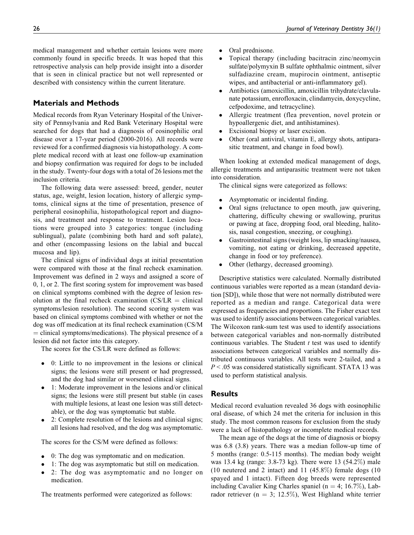medical management and whether certain lesions were more commonly found in specific breeds. It was hoped that this retrospective analysis can help provide insight into a disorder that is seen in clinical practice but not well represented or described with consistency within the current literature.

# Materials and Methods

Medical records from Ryan Veterinary Hospital of the University of Pennsylvania and Red Bank Veterinary Hospital were searched for dogs that had a diagnosis of eosinophilic oral disease over a 17-year period (2000-2016). All records were reviewed for a confirmed diagnosis via histopathology. A complete medical record with at least one follow-up examination and biopsy confirmation was required for dogs to be included in the study. Twenty-four dogs with a total of 26 lesions met the inclusion criteria.

The following data were assessed: breed, gender, neuter status, age, weight, lesion location, history of allergic symptoms, clinical signs at the time of presentation, presence of peripheral eosinophilia, histopathological report and diagnosis, and treatment and response to treatment. Lesion locations were grouped into 3 categories: tongue (including sublingual), palate (combining both hard and soft palate), and other (encompassing lesions on the labial and buccal mucosa and lip).

The clinical signs of individual dogs at initial presentation were compared with those at the final recheck examination. Improvement was defined in 2 ways and assigned a score of 0, 1, or 2. The first scoring system for improvement was based on clinical symptoms combined with the degree of lesion resolution at the final recheck examination  $(CS/LR =$  clinical symptoms/lesion resolution). The second scoring system was based on clinical symptoms combined with whether or not the dog was off medication at its final recheck examination (CS/M  $=$  clinical symptoms/medications). The physical presence of a lesion did not factor into this category.

The scores for the CS/LR were defined as follows:

- $\bullet$  0: Little to no improvement in the lesions or clinical signs; the lesions were still present or had progressed, and the dog had similar or worsened clinical signs.
- 1: Moderate improvement in the lesions and/or clinical signs; the lesions were still present but stable (in cases with multiple lesions, at least one lesion was still detectable), or the dog was symptomatic but stable.
- $\bullet$  2: Complete resolution of the lesions and clinical signs; all lesions had resolved, and the dog was asymptomatic.

The scores for the CS/M were defined as follows:

- $\bullet$ 0: The dog was symptomatic and on medication.
- $\bullet$ 1: The dog was asymptomatic but still on medication.
- $\bullet$  2: The dog was asymptomatic and no longer on medication.

The treatments performed were categorized as follows:

- $\bullet$ Oral prednisone.
- $\bullet$  Topical therapy (including bacitracin zinc/neomycin sulfate/polymyxin B sulfate ophthalmic ointment, silver sulfadiazine cream, mupirocin ointment, antiseptic wipes, and antibacterial or anti-inflammatory gel).
- $\bullet$  Antibiotics (amoxicillin, amoxicillin trihydrate/clavulanate potassium, enrofloxacin, clindamycin, doxycycline, cefpodoxime, and tetracycline).
- $\bullet$  Allergic treatment (flea prevention, novel protein or hypoallergenic diet, and antihistamines).
- $\bullet$ Excisional biopsy or laser excision.
- $\bullet$  Other (oral antiviral, vitamin E, allergy shots, antiparasitic treatment, and change in food bowl).

When looking at extended medical management of dogs, allergic treatments and antiparasitic treatment were not taken into consideration.

The clinical signs were categorized as follows:

- $\bullet$ Asymptomatic or incidental finding.
- $\bullet$  Oral signs (reluctance to open mouth, jaw quivering, chattering, difficulty chewing or swallowing, pruritus or pawing at face, dropping food, oral bleeding, halitosis, nasal congestion, sneezing, or coughing).
- $\bullet$  Gastrointestinal signs (weight loss, lip smacking/nausea, vomiting, not eating or drinking, decreased appetite, change in food or toy preference).
- $\bullet$ Other (lethargy, decreased grooming).

Descriptive statistics were calculated. Normally distributed continuous variables were reported as a mean (standard deviation [SD]), while those that were not normally distributed were reported as a median and range. Categorical data were expressed as frequencies and proportions. The Fisher exact test was used to identify associations between categorical variables. The Wilcoxon rank-sum test was used to identify associations between categorical variables and non-normally distributed continuous variables. The Student  $t$  test was used to identify associations between categorical variables and normally distributed continuous variables. All tests were 2-tailed, and a  $P < 0.05$  was considered statistically significant. STATA 13 was used to perform statistical analysis.

# Results

Medical record evaluation revealed 36 dogs with eosinophilic oral disease, of which 24 met the criteria for inclusion in this study. The most common reasons for exclusion from the study were a lack of histopathology or incomplete medical records.

The mean age of the dogs at the time of diagnosis or biopsy was 6.8 (3.8) years. There was a median follow-up time of 5 months (range: 0.5-115 months). The median body weight was 13.4 kg (range: 3.8-73 kg). There were 13 (54.2%) male (10 neutered and 2 intact) and 11 (45.8%) female dogs (10 spayed and 1 intact). Fifteen dog breeds were represented including Cavalier King Charles spaniel ( $n = 4$ ; 16.7%), Labrador retriever ( $n = 3$ ; 12.5%), West Highland white terrier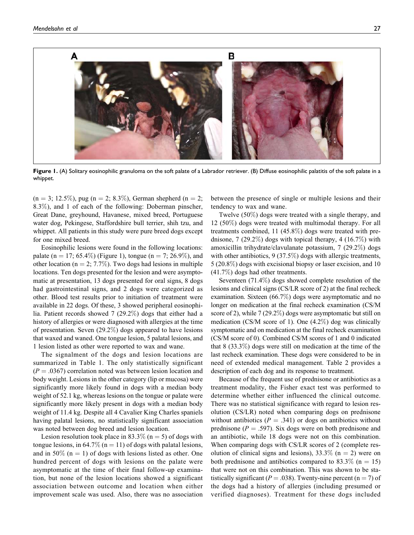

Figure 1. (A) Solitary eosinophilic granuloma on the soft palate of a Labrador retriever. (B) Diffuse eosinophilic palatitis of the soft palate in a whippet.

 $(n = 3; 12.5\%)$ , pug  $(n = 2; 8.3\%)$ , German shepherd  $(n = 2;$ 8.3%), and 1 of each of the following: Doberman pinscher, Great Dane, greyhound, Havanese, mixed breed, Portuguese water dog, Pekingese, Staffordshire bull terrier, shih tzu, and whippet. All patients in this study were pure breed dogs except for one mixed breed.

Eosinophilic lesions were found in the following locations: palate (n = 17; 65.4%) (Figure 1), tongue (n = 7; 26.9%), and other location ( $n = 2$ ; 7.7%). Two dogs had lesions in multiple locations. Ten dogs presented for the lesion and were asymptomatic at presentation, 13 dogs presented for oral signs, 8 dogs had gastrointestinal signs, and 2 dogs were categorized as other. Blood test results prior to initiation of treatment were available in 22 dogs. Of these, 3 showed peripheral eosinophilia. Patient records showed 7 (29.2%) dogs that either had a history of allergies or were diagnosed with allergies at the time of presentation. Seven (29.2%) dogs appeared to have lesions that waxed and waned. One tongue lesion, 5 palatal lesions, and 1 lesion listed as other were reported to wax and wane.

The signalment of the dogs and lesion locations are summarized in Table 1. The only statistically significant  $(P = .0367)$  correlation noted was between lesion location and body weight. Lesions in the other category (lip or mucosa) were significantly more likely found in dogs with a median body weight of 52.1 kg, whereas lesions on the tongue or palate were significantly more likely present in dogs with a median body weight of 11.4 kg. Despite all 4 Cavalier King Charles spaniels having palatal lesions, no statistically significant association was noted between dog breed and lesion location.

Lesion resolution took place in 83.3% ( $n = 5$ ) of dogs with tongue lesions, in 64.7% ( $n = 11$ ) of dogs with palatal lesions, and in 50% ( $n = 1$ ) of dogs with lesions listed as other. One hundred percent of dogs with lesions on the palate were asymptomatic at the time of their final follow-up examination, but none of the lesion locations showed a significant association between outcome and location when either improvement scale was used. Also, there was no association between the presence of single or multiple lesions and their tendency to wax and wane.

Twelve (50%) dogs were treated with a single therapy, and 12 (50%) dogs were treated with multimodal therapy. For all treatments combined, 11 (45.8%) dogs were treated with prednisone,  $7$  (29.2%) dogs with topical therapy,  $4$  (16.7%) with amoxicillin trihydrate/clavulanate potassium, 7 (29.2%) dogs with other antibiotics, 9 (37.5%) dogs with allergic treatments, 5 (20.8%) dogs with excisional biopsy or laser excision, and 10 (41.7%) dogs had other treatments.

Seventeen (71.4%) dogs showed complete resolution of the lesions and clinical signs (CS/LR score of 2) at the final recheck examination. Sixteen (66.7%) dogs were asymptomatic and no longer on medication at the final recheck examination (CS/M score of 2), while 7 (29.2%) dogs were asymptomatic but still on medication (CS/M score of 1). One (4.2%) dog was clinically symptomatic and on medication at the final recheck examination (CS/M score of 0). Combined CS/M scores of 1 and 0 indicated that 8 (33.3%) dogs were still on medication at the time of the last recheck examination. These dogs were considered to be in need of extended medical management. Table 2 provides a description of each dog and its response to treatment.

Because of the frequent use of prednisone or antibiotics as a treatment modality, the Fisher exact test was performed to determine whether either influenced the clinical outcome. There was no statistical significance with regard to lesion resolution (CS/LR) noted when comparing dogs on prednisone without antibiotics ( $P = .341$ ) or dogs on antibiotics without prednisone ( $P = .597$ ). Six dogs were on both prednisone and an antibiotic, while 18 dogs were not on this combination. When comparing dogs with CS/LR scores of 2 (complete resolution of clinical signs and lesions),  $33.3\%$  (n = 2) were on both prednisone and antibiotics compared to 83.3\% (n = 15) that were not on this combination. This was shown to be statistically significant ( $P = .038$ ). Twenty-nine percent ( $n = 7$ ) of the dogs had a history of allergies (including presumed or verified diagnoses). Treatment for these dogs included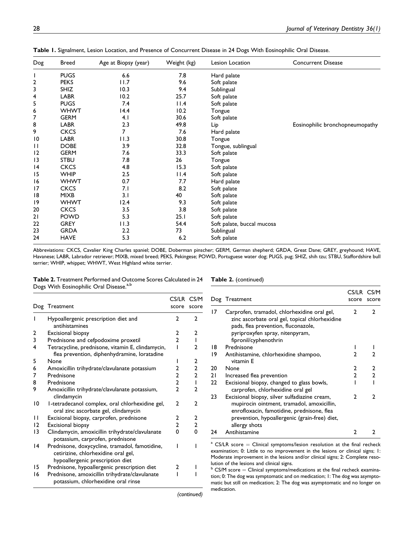| Dog | <b>Breed</b> | Age at Biopsy (year) | Weight (kg) | Lesion Location            | <b>Concurrent Disease</b>       |
|-----|--------------|----------------------|-------------|----------------------------|---------------------------------|
| I   | <b>PUGS</b>  | 6.6                  | 7.8         | Hard palate                |                                 |
| 2   | <b>PEKS</b>  | 11.7                 | 9.6         | Soft palate                |                                 |
| 3   | <b>SHIZ</b>  | 10.3                 | 9.4         | Sublingual                 |                                 |
| 4   | <b>LABR</b>  | 10.2                 | 25.7        | Soft palate                |                                 |
| 5   | <b>PUGS</b>  | 7.4                  | 11.4        | Soft palate                |                                 |
| 6   | <b>WHWT</b>  | 14.4                 | 10.2        | Tongue                     |                                 |
| 7   | <b>GERM</b>  | 4.1                  | 30.6        | Soft palate                |                                 |
| 8   | <b>LABR</b>  | 2.3                  | 49.8        | Lip                        | Eosinophilic bronchopneumopathy |
| 9   | <b>CKCS</b>  | 7                    | 7.6         | Hard palate                |                                 |
| 10  | <b>LABR</b>  | 11.3                 | 30.8        | Tongue                     |                                 |
| П   | <b>DOBE</b>  | 3.9                  | 32.8        | Tongue, sublingual         |                                 |
| 12  | <b>GERM</b>  | 7.6                  | 33.3        | Soft palate                |                                 |
| 13  | <b>STBU</b>  | 7.8                  | 26          | Tongue                     |                                 |
| 4   | <b>CKCS</b>  | 4.8                  | 15.3        | Soft palate                |                                 |
| 15  | <b>WHIP</b>  | 2.5                  | 11.4        | Soft palate                |                                 |
| 16  | <b>WHWT</b>  | 0.7                  | 7.7         | Hard palate                |                                 |
| 17  | <b>CKCS</b>  | 7.1                  | 8.2         | Soft palate                |                                 |
| 18  | <b>MIXB</b>  | 3.1                  | 40          | Soft palate                |                                 |
| 19  | <b>WHWT</b>  | 12.4                 | 9.3         | Soft palate                |                                 |
| 20  | <b>CKCS</b>  | 3.5                  | 3.8         | Soft palate                |                                 |
| 21  | <b>POWD</b>  | 5.3                  | 25.1        | Soft palate                |                                 |
| 22  | <b>GREY</b>  | 11.3                 | 54.4        | Soft palate, buccal mucosa |                                 |
| 23  | <b>GRDA</b>  | 2.2                  | 73          | Sublingual                 |                                 |
| 24  | <b>HAVE</b>  | 5.3                  | 6.2         | Soft palate                |                                 |

Table 1. Signalment, Lesion Location, and Presence of Concurrent Disease in 24 Dogs With Eosinophilic Oral Disease.

Abbreviations: CKCS, Cavalier King Charles spaniel; DOBE, Doberman pinscher; GERM, German shepherd; GRDA, Great Dane; GREY, greyhound; HAVE, Havanese; LABR, Labrador retriever; MIXB, mixed breed; PEKS, Pekingese; POWD, Portuguese water dog; PUGS, pug; SHIZ, shih tzu; STBU, Staffordshire bull terrier; WHIP, whippet; WHWT, West Highland white terrier.

Table 2. Treatment Performed and Outcome Scores Calculated in 24 Dogs With Eosinophilic Oral Disease.<sup>a,b</sup>

Table 2. (continued)

|    | Dog Treatment                                                                                                             | CS/LR CS/M<br>score | score                   |
|----|---------------------------------------------------------------------------------------------------------------------------|---------------------|-------------------------|
| ı  | Hypoallergenic prescription diet and<br>antihistamines                                                                    | $\mathfrak{p}$      | $\mathbf{2}$            |
| 2  | Excisional biopsy                                                                                                         | 2                   | $\mathfrak{p}$          |
| 3  | Prednisone and cefpodoxime proxetil                                                                                       | $\overline{2}$      | I                       |
| 4  | Tetracycline, prednisone, vitamin E, clindamycin,<br>flea prevention, diphenhydramine, loratadine                         |                     | 2                       |
| 5  | None                                                                                                                      |                     | $\overline{2}$          |
| 6  | Amoxicillin trihydrate/clavulanate potassium                                                                              | 2                   | $\overline{\mathbf{c}}$ |
| 7  | Prednisone                                                                                                                | 2                   | $\mathbf{2}$            |
| 8  | Prednisone                                                                                                                | $\overline{2}$      | $\mathbf{I}$            |
| 9  | Amoxicillin trihydrate/clavulanate potassium,<br>clindamycin                                                              | $\mathfrak{p}$      | 2                       |
| 10 | I-tetradecanol complex, oral chlorhexidine gel,<br>oral zinc ascorbate gel, clindamycin                                   | $\mathfrak{p}$      | $\mathfrak{p}$          |
| п  | Excisional biopsy, carprofen, prednisone                                                                                  | $\overline{2}$      | $\mathbf{2}$            |
| 12 | <b>Excisional biopsy</b>                                                                                                  | $\overline{2}$      | $\overline{2}$          |
| 13 | Clindamycin, amoxicillin trihydrate/clavulanate<br>potassium, carprofen, prednisone                                       | 0                   | 0                       |
| 14 | Prednisone, doxycycline, tramadol, famotidine,<br>cetirizine, chlorhexidine oral gel,<br>hypoallergenic prescription diet | ı                   |                         |
| 15 | Prednisone, hypoallergenic prescription diet                                                                              | 2                   |                         |
| 16 | Prednisone, amoxicillin trihydrate/clavulanate<br>potassium, chlorhexidine oral rinse                                     |                     |                         |

|    | Dog Treatment                                                                                                                                                                                               | CS/LR CS/M<br>score | score          |
|----|-------------------------------------------------------------------------------------------------------------------------------------------------------------------------------------------------------------|---------------------|----------------|
| 17 | Carprofen, tramadol, chlorhexidine oral gel,<br>zinc ascorbate oral gel, topical chlorhexidine<br>pads, flea prevention, fluconazole,<br>pyriproxyfen spray, nitenpyram,<br>fipronil/cyphenothrin           |                     | 7              |
| 18 | Prednisone                                                                                                                                                                                                  |                     |                |
| 19 | Antihistamine, chlorhexidine shampoo,<br>vitamin E                                                                                                                                                          | 2                   |                |
| 20 | None                                                                                                                                                                                                        | 2                   | 2              |
| 21 | Increased flea prevention                                                                                                                                                                                   | $\mathfrak{p}$      | $\overline{2}$ |
| 22 | Excisional biopsy, changed to glass bowls,<br>carprofen, chlorhexidine oral gel                                                                                                                             |                     |                |
| 23 | Excisional biopsy, silver sulfadiazine cream,<br>mupirocin ointment, tramadol, amoxicillin,<br>enrofloxacin, famotidine, prednisone, flea<br>prevention, hypoallergenic (grain-free) diet,<br>allergy shots | 2                   | 7              |
| 24 | Antihistamine                                                                                                                                                                                               | 2                   |                |

 $CS/LR$  score  $=$  Clinical symptoms/lesion resolution at the final recheck examination; 0: Little to no improvement in the lesions or clinical signs; 1: Moderate improvement in the lesions and/or clinical signs; 2: Complete resolution of the lesions and clinical signs.

 $b$  CS/M score  $=$  Clinical symptoms/medications at the final recheck examination; 0: The dog was symptomatic and on medication; 1: The dog was asymptomatic but still on medication; 2: The dog was asymptomatic and no longer on medication.

(continued)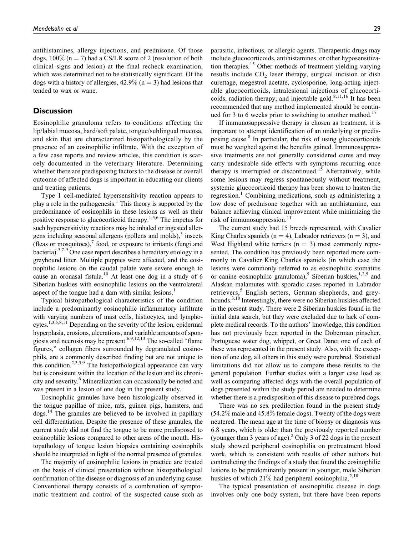antihistamines, allergy injections, and prednisone. Of those dogs,  $100\%$  (n = 7) had a CS/LR score of 2 (resolution of both clinical signs and lesion) at the final recheck examination, which was determined not to be statistically significant. Of the dogs with a history of allergies,  $42.9\%$  (n = 3) had lesions that tended to wax or wane.

## **Discussion**

Eosinophilic granuloma refers to conditions affecting the lip/labial mucosa, hard/soft palate, tongue/sublingual mucosa, and skin that are characterized histopathologically by the presence of an eosinophilic infiltrate. With the exception of a few case reports and review articles, this condition is scarcely documented in the veterinary literature. Determining whether there are predisposing factors to the disease or overall outcome of affected dogs is important in educating our clients and treating patients.

Type 1 cell-mediated hypersensitivity reaction appears to play a role in the pathogenesis.<sup>1</sup> This theory is supported by the predominance of eosinophils in these lesions as well as their positive response to glucocorticoid therapy.1,5,6 The impetus for such hypersensitivity reactions may be inhaled or ingested allergens including seasonal allergens (pollens and molds), $<sup>5</sup>$  insects</sup> (fleas or mosquitoes), $\frac{7}{1}$  food, or exposure to irritants (fungi and bacteria).<sup>5,7-9</sup> One case report describes a hereditary etiology in a greyhound litter. Multiple puppies were affected, and the eosinophilic lesions on the caudal palate were severe enough to cause an oronasal fistula.<sup>10</sup> At least one dog in a study of 6 Siberian huskies with eosinophilic lesions on the ventrolateral aspect of the tongue had a dam with similar lesions.<sup>1</sup>

Typical histopathological characteristics of the condition include a predominantly eosinophilic inflammatory infiltrate with varying numbers of mast cells, histiocytes, and lympho- $\text{cytes}.^{1,3,5,8,11}$  Depending on the severity of the lesion, epidermal hyperplasia, erosions, ulcerations, and variable amounts of spongiosis and necrosis may be present.<sup>6,9,12,13</sup> The so-called "flame figures," collagen fibers surrounded by degranulated eosinophils, are a commonly described finding but are not unique to this condition.<sup>2,3,5,9</sup> The histopathological appearance can vary but is consistent within the location of the lesion and its chronicity and severity.6 Mineralization can occasionally be noted and was present in a lesion of one dog in the present study.

Eosinophilic granules have been histologically observed in the tongue papillae of mice, rats, guinea pigs, hamsters, and dogs.14 The granules are believed to be involved in papillary cell differentiation. Despite the presence of these granules, the current study did not find the tongue to be more predisposed to eosinophilic lesions compared to other areas of the mouth. Histopathology of tongue lesion biopsies containing eosinophils should be interpreted in light of the normal presence of granules.

The majority of eosinophilic lesions in practice are treated on the basis of clinical presentation without histopathological confirmation of the disease or diagnosis of an underlying cause. Conventional therapy consists of a combination of symptomatic treatment and control of the suspected cause such as parasitic, infectious, or allergic agents. Therapeutic drugs may include glucocorticoids, antihistamines, or other hyposensitization therapies.<sup>15</sup> Other methods of treatment yielding varying results include  $CO<sub>2</sub>$  laser therapy, surgical incision or dish curettage, megestrol acetate, cyclosporine, long-acting injectable glucocorticoids, intralesional injections of glucocorticoids, radiation therapy, and injectable gold. $8,11,16$  It has been recommended that any method implemented should be continued for 3 to 6 weeks prior to switching to another method.<sup>17</sup>

If immunosuppressive therapy is chosen as treatment, it is important to attempt identification of an underlying or predisposing cause.<sup>8</sup> In particular, the risk of using glucocorticoids must be weighed against the benefits gained. Immunosuppressive treatments are not generally considered cures and may carry undesirable side effects with symptoms recurring once therapy is interrupted or discontinued.<sup>15</sup> Alternatively, while some lesions may regress spontaneously without treatment, systemic glucocorticoid therapy has been shown to hasten the regression.<sup>1</sup> Combining medications, such as administering a low dose of prednisone together with an antihistamine, can balance achieving clinical improvement while minimizing the risk of immunosuppression. $^{11}$ 

The current study had 15 breeds represented, with Cavalier King Charles spaniels ( $n = 4$ ), Labrador retrievers ( $n = 3$ ), and West Highland white terriers  $(n = 3)$  most commonly represented. The condition has previously been reported more commonly in Cavalier King Charles spaniels (in which case the lesions were commonly referred to as eosinophilic stomatitis or canine eosinophilic granuloma),<sup>5</sup> Siberian huskies,<sup>1,2,5</sup> and Alaskan malamutes with sporadic cases reported in Labrador retrievers,<sup>5</sup> English setters, German shepherds, and greyhounds.<sup>3,10</sup> Interestingly, there were no Siberian huskies affected in the present study. There were 2 Siberian huskies found in the initial data search, but they were excluded due to lack of complete medical records. To the authors' knowledge, this condition has not previously been reported in the Doberman pinscher, Portuguese water dog, whippet, or Great Dane; one of each of these was represented in the present study. Also, with the exception of one dog, all others in this study were purebred. Statistical limitations did not allow us to compare these results to the general population. Further studies with a larger case load as well as comparing affected dogs with the overall population of dogs presented within the study period are needed to determine whether there is a predisposition of this disease to purebred dogs.

There was no sex predilection found in the present study (54.2% male and 45.8% female dogs). Twenty of the dogs were neutered. The mean age at the time of biopsy or diagnosis was 6.8 years, which is older than the previously reported number (younger than 3 years of age).<sup>2</sup> Only 3 of 22 dogs in the present study showed peripheral eosinophilia on pretreatment blood work, which is consistent with results of other authors but contradicting the findings of a study that found the eosinophilic lesions to be predominantly present in younger, male Siberian huskies of which  $21\%$  had peripheral eosinophilia.<sup>2,18</sup>

The typical presentation of eosinophilic disease in dogs involves only one body system, but there have been reports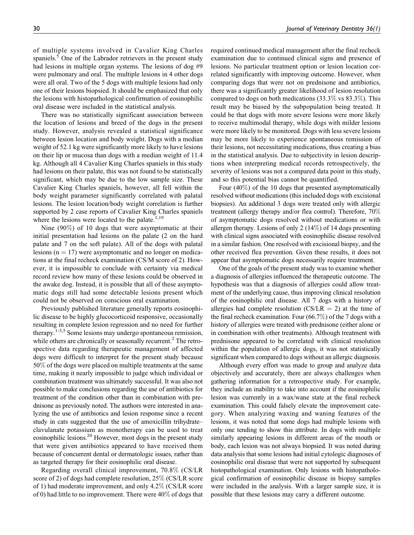of multiple systems involved in Cavalier King Charles spaniels.<sup>5</sup> One of the Labrador retrievers in the present study had lesions in multiple organ systems. The lesions of dog #9 were pulmonary and oral. The multiple lesions in 4 other dogs were all oral. Two of the 5 dogs with multiple lesions had only one of their lesions biopsied. It should be emphasized that only the lesions with histopathological confirmation of eosinophilic oral disease were included in the statistical analysis.

There was no statistically significant association between the location of lesions and breed of the dogs in the present study. However, analysis revealed a statistical significance between lesion location and body weight. Dogs with a median weight of 52.1 kg were significantly more likely to have lesions on their lip or mucosa than dogs with a median weight of 11.4 kg. Although all 4 Cavalier King Charles spaniels in this study had lesions on their palate, this was not found to be statistically significant, which may be due to the low sample size. These Cavalier King Charles spaniels, however, all fell within the body weight parameter significantly correlated with palatal lesions. The lesion location/body weight correlation is further supported by 2 case reports of Cavalier King Charles spaniels where the lesions were located to the palate.<sup>1,19</sup>

Nine (90%) of 10 dogs that were asymptomatic at their initial presentation had lesions on the palate (2 on the hard palate and 7 on the soft palate). All of the dogs with palatal lesions ( $n = 17$ ) were asymptomatic and no longer on medications at the final recheck examination (CS/M score of 2). However, it is impossible to conclude with certainty via medical record review how many of these lesions could be observed in the awake dog. Instead, it is possible that all of these asymptomatic dogs still had some detectable lesions present which could not be observed on conscious oral examination.

Previously published literature generally reports eosinophilic disease to be highly glucocorticoid responsive, occasionally resulting in complete lesion regression and no need for further therapy.<sup>1-3,5</sup> Some lesions may undergo spontaneous remission, while others are chronically or seasonally recurrent.<sup>2</sup> The retrospective data regarding therapeutic management of affected dogs were difficult to interpret for the present study because 50% of the dogs were placed on multiple treatments at the same time, making it nearly impossible to judge which individual or combination treatment was ultimately successful. It was also not possible to make conclusions regarding the use of antibiotics for treatment of the condition other than in combination with prednisone as previously noted. The authors were interested in analyzing the use of antibiotics and lesion response since a recent study in cats suggested that the use of amoxicillin trihydrate– clavulanate potassium as monotherapy can be used to treat eosinophilic lesions.<sup>20</sup> However, most dogs in the present study that were given antibiotics appeared to have received them because of concurrent dental or dermatologic issues, rather than as targeted therapy for their eosinophilic oral disease.

Regarding overall clinical improvement, 70.8% (CS/LR score of 2) of dogs had complete resolution, 25% (CS/LR score of 1) had moderate improvement, and only 4.2% (CS/LR score of 0) had little to no improvement. There were 40% of dogs that required continued medical management after the final recheck examination due to continued clinical signs and presence of lesions. No particular treatment option or lesion location correlated significantly with improving outcome. However, when comparing dogs that were not on prednisone and antibiotics, there was a significantly greater likelihood of lesion resolution compared to dogs on both medications  $(33.3\% \text{ vs } 83.3\%).$  This result may be biased by the subpopulation being treated. It could be that dogs with more severe lesions were more likely to receive multimodal therapy, while dogs with milder lesions were more likely to be monitored. Dogs with less severe lesions may be more likely to experience spontaneous remission of their lesions, not necessitating medications, thus creating a bias in the statistical analysis. Due to subjectivity in lesion descriptions when interpreting medical records retrospectively, the severity of lesions was not a compared data point in this study, and so this potential bias cannot be quantified.

Four (40%) of the 10 dogs that presented asymptomatically resolved without medications (this included dogs with excisional biopsies). An additional 3 dogs were treated only with allergic treatment (allergy therapy and/or flea control). Therefore, 70% of asymptomatic dogs resolved without medications or with allergen therapy. Lesions of only 2 (14%) of 14 dogs presenting with clinical signs associated with eosinophilic disease resolved in a similar fashion. One resolved with excisional biopsy, and the other received flea prevention. Given these results, it does not appear that asymptomatic dogs necessarily require treatment.

One of the goals of the present study was to examine whether a diagnosis of allergies influenced the therapeutic outcome. The hypothesis was that a diagnosis of allergies could allow treatment of the underlying cause, thus improving clinical resolution of the eosinophilic oral disease. All 7 dogs with a history of allergies had complete resolution (CS/LR  $=$  2) at the time of the final recheck examination. Four (66.7%) of the 7 dogs with a history of allergies were treated with prednisone (either alone or in combination with other treatments). Although treatment with prednisone appeared to be correlated with clinical resolution within the population of allergic dogs, it was not statistically significant when compared to dogs without an allergic diagnosis.

Although every effort was made to group and analyze data objectively and accurately, there are always challenges when gathering information for a retrospective study. For example, they include an inability to take into account if the eosinophilic lesion was currently in a wax/wane state at the final recheck examination. This could falsely elevate the improvement category. When analyzing waxing and waning features of the lesions, it was noted that some dogs had multiple lesions with only one tending to show this attribute. In dogs with multiple similarly appearing lesions in different areas of the mouth or body, each lesion was not always biopsied. It was noted during data analysis that some lesions had initial cytologic diagnoses of eosinophilic oral disease that were not supported by subsequent histopathological examination. Only lesions with histopathological confirmation of eosinophilic disease in biopsy samples were included in the analysis. With a larger sample size, it is possible that these lesions may carry a different outcome.